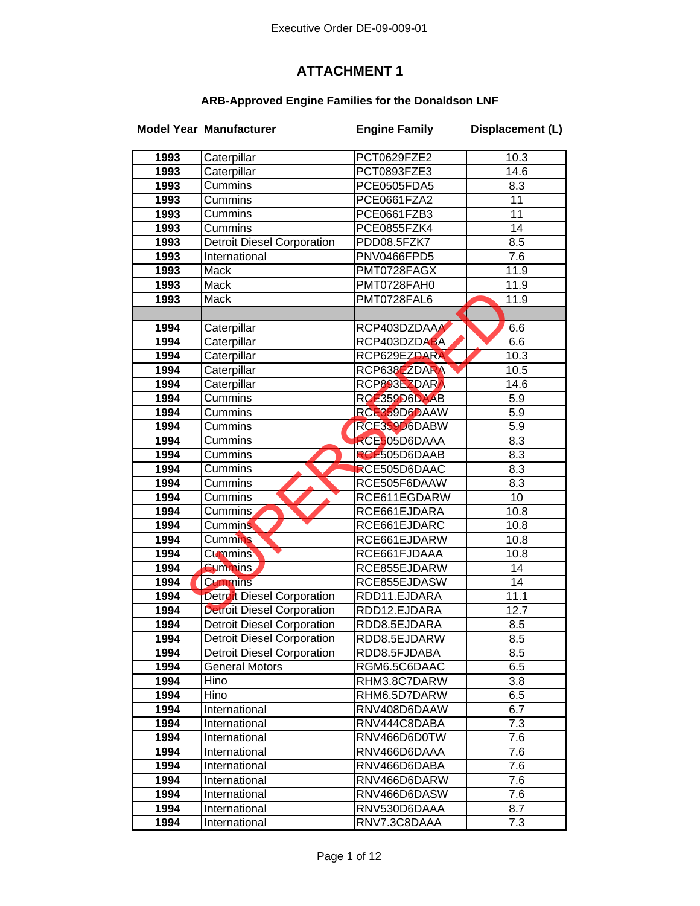## **ATTACHMENT 1**

## **ARB-Approved Engine Families for the Donaldson LNF**

|      | <b>Model Year Manufacturer</b>    | <b>Engine Family</b> | Displacement (L) |
|------|-----------------------------------|----------------------|------------------|
| 1993 | Caterpillar                       | PCT0629FZE2          | 10.3             |
| 1993 | Caterpillar                       | PCT0893FZE3          | 14.6             |
| 1993 | Cummins                           | PCE0505FDA5          | 8.3              |
| 1993 | <b>Cummins</b>                    | PCE0661FZA2          | 11               |
| 1993 | Cummins                           | PCE0661FZB3          | $\overline{11}$  |
| 1993 | Cummins                           | PCE0855FZK4          | 14               |
| 1993 | <b>Detroit Diesel Corporation</b> | PDD08.5FZK7          | 8.5              |
| 1993 | International                     | PNV0466FPD5          | 7.6              |
| 1993 | Mack                              | PMT0728FAGX          | 11.9             |
| 1993 | Mack                              | PMT0728FAH0          | 11.9             |
| 1993 | Mack                              | PMT0728FAL6          | 11.9             |
|      |                                   |                      |                  |
| 1994 | Caterpillar                       | RCP403DZDAAA         | 6.6              |
| 1994 | Caterpillar                       | RCP403DZDABA         | 6.6              |
| 1994 | Caterpillar                       | RCP629EZDARA         | 10.3             |
| 1994 | Caterpillar                       | RCP638EZDARA         | 10.5             |
| 1994 | Caterpillar                       | RCP893EZDARA         | 14.6             |
| 1994 | Cummins                           | RCE359D6DAAB         | 5.9              |
| 1994 | Cummins                           | RCE359D6DAAW         | 5.9              |
| 1994 | Cummins                           | RCE359D6DABW         | 5.9              |
| 1994 | Cummins                           | RCE505D6DAAA         | 8.3              |
| 1994 | Cummins                           | RCE505D6DAAB         | 8.3              |
| 1994 | Cummins                           | RCE505D6DAAC         | 8.3              |
| 1994 | Cummins                           | RCE505F6DAAW         | 8.3              |
| 1994 | Cummins                           | RCE611EGDARW         | 10               |
| 1994 | Cummins                           | RCE661EJDARA         | 10.8             |
| 1994 | <b>Cummins</b>                    | RCE661EJDARC         | 10.8             |
| 1994 | <b>Cummins</b>                    | RCE661EJDARW         | 10.8             |
| 1994 | <b>Cummins</b>                    | RCE661FJDAAA         | 10.8             |
| 1994 | <b>Cummins</b>                    | RCE855EJDARW         | 14               |
| 1994 | <b>Cummins</b>                    | RCE855EJDASW         | $\overline{14}$  |
| 1994 | Detroit Diesel Corporation        | RDD11.EJDARA         | 11.1             |
| 1994 | <b>Detroit Diesel Corporation</b> | RDD12.EJDARA         | 12.7             |
| 1994 | <b>Detroit Diesel Corporation</b> | RDD8.5EJDARA         | 8.5              |
| 1994 | <b>Detroit Diesel Corporation</b> | RDD8.5EJDARW         | 8.5              |
| 1994 | <b>Detroit Diesel Corporation</b> | RDD8.5FJDABA         | 8.5              |
| 1994 | <b>General Motors</b>             | RGM6.5C6DAAC         | 6.5              |
| 1994 | Hino                              | RHM3.8C7DARW         | 3.8              |
| 1994 | Hino                              | RHM6.5D7DARW         | 6.5              |
| 1994 | International                     | RNV408D6DAAW         | 6.7              |
| 1994 | International                     | RNV444C8DABA         | 7.3              |
| 1994 | International                     | RNV466D6D0TW         | 7.6              |
| 1994 | International                     | RNV466D6DAAA         | 7.6              |
| 1994 | International                     | RNV466D6DABA         | 7.6              |
| 1994 | International                     | RNV466D6DARW         | 7.6              |
| 1994 | International                     | RNV466D6DASW         | 7.6              |
| 1994 | International                     | RNV530D6DAAA         | 8.7              |
| 1994 | International                     | RNV7.3C8DAAA         | 7.3              |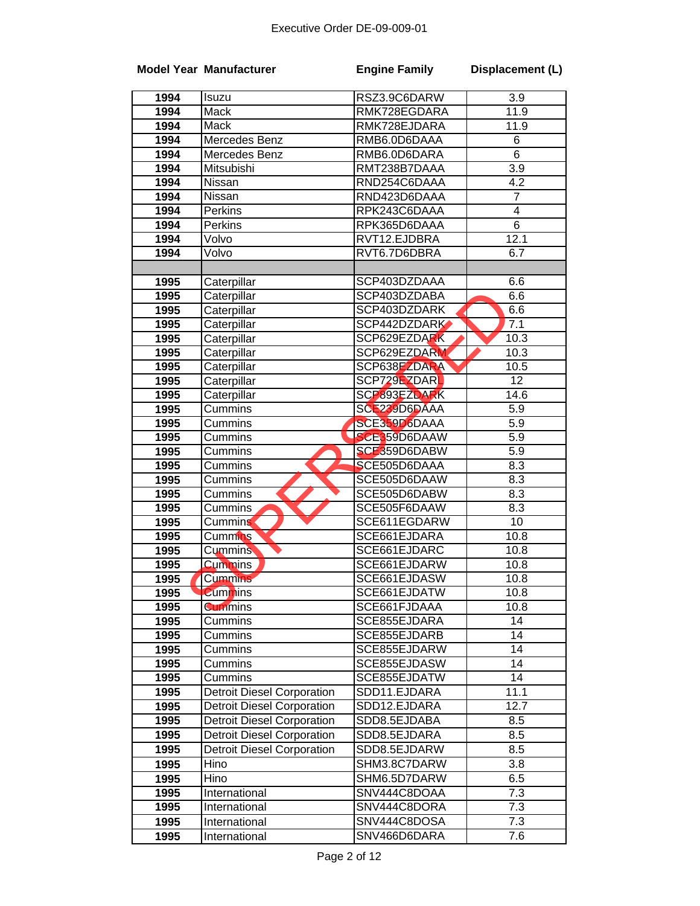|              | <b>Model Year Manufacturer</b>    | <b>Engine Family</b>         | Displacement (L) |
|--------------|-----------------------------------|------------------------------|------------------|
| 1994         | Isuzu                             | RSZ3.9C6DARW                 | 3.9              |
| 1994         | Mack                              | RMK728EGDARA                 | 11.9             |
| 1994         | Mack                              | RMK728EJDARA                 | 11.9             |
| 1994         | Mercedes Benz                     | RMB6.0D6DAAA                 | 6                |
| 1994         | Mercedes Benz                     | RMB6.0D6DARA                 | $\overline{6}$   |
| 1994         | Mitsubishi                        | RMT238B7DAAA                 | 3.9              |
| 1994         | Nissan                            | RND254C6DAAA                 | 4.2              |
| 1994         | Nissan                            | RND423D6DAAA                 | $\overline{7}$   |
| 1994         | Perkins                           | RPK243C6DAAA                 | 4                |
| 1994         | Perkins                           | RPK365D6DAAA                 | 6                |
| 1994         | Volvo                             | RVT12.EJDBRA                 | 12.1             |
| 1994         | Volvo                             | RVT6.7D6DBRA                 | 6.7              |
|              |                                   |                              |                  |
| 1995         | Caterpillar                       | SCP403DZDAAA                 | 6.6              |
| 1995         | Caterpillar                       | SCP403DZDABA                 | 6.6              |
| 1995         | Caterpillar                       | SCP403DZDARK                 | 6.6              |
| 1995         | Caterpillar                       | SCP442DZDARK                 | 7.1              |
| 1995         | Caterpillar                       | SCP629EZDARK                 | 10.3             |
| 1995         | Caterpillar                       | SCP629EZDARM                 | 10.3             |
| 1995         | Caterpillar                       | SCP638EZDARA                 | 10.5             |
| 1995         | Caterpillar                       | SCP729EZDARL                 | $\overline{12}$  |
| 1995         | Caterpillar                       | SCP893EZDARK                 | 14.6             |
| 1995         | Cummins                           | SCE239D6DAAA                 | 5.9              |
| 1995         | Cummins                           | SCE359D6DAAA                 | 5.9              |
| 1995         | Cummins                           | SCE359D6DAAW                 | $\overline{5.9}$ |
| 1995         | Cummins                           | SCE359D6DABW                 | 5.9              |
| 1995         | Cummins                           | SCE505D6DAAA<br>SCE505D6DAAW | 8.3<br>8.3       |
| 1995<br>1995 | Cummins<br>Cummins                | SCE505D6DABW                 | 8.3              |
| 1995         | Cummins                           | SCE505F6DAAW                 | 8.3              |
| 1995         | <b>Cummins</b>                    | SCE611EGDARW                 | $\overline{10}$  |
| 1995         | Cummins                           | SCE661EJDARA                 | 10.8             |
| 1995         | <b>Cummins</b>                    | SCE661EJDARC                 | 10.8             |
| 1995         | <b>Cummins</b>                    | SCE661EJDARW                 | 10.8             |
| 1995         | Cummins                           | SCE661EJDASW                 | 10.8             |
| 1995         | <b>Cummins</b>                    | SCE661EJDATW                 | 10.8             |
| 1995         | <b>Cummins</b>                    | SCE661FJDAAA                 | 10.8             |
| 1995         | Cummins                           | SCE855EJDARA                 | 14               |
| 1995         | Cummins                           | SCE855EJDARB                 | 14               |
| 1995         | Cummins                           | SCE855EJDARW                 | 14               |
| 1995         | Cummins                           | SCE855EJDASW                 | 14               |
| 1995         | Cummins                           | SCE855EJDATW                 | 14               |
| 1995         | Detroit Diesel Corporation        | SDD11.EJDARA                 | 11.1             |
| 1995         | <b>Detroit Diesel Corporation</b> | SDD12.EJDARA                 | 12.7             |
| 1995         | <b>Detroit Diesel Corporation</b> | SDD8.5EJDABA                 | 8.5              |
| 1995         | <b>Detroit Diesel Corporation</b> | SDD8.5EJDARA                 | 8.5              |
| 1995         | <b>Detroit Diesel Corporation</b> | SDD8.5EJDARW                 | 8.5              |
| 1995         | Hino                              | SHM3.8C7DARW                 | 3.8              |
| 1995         | Hino                              | SHM6.5D7DARW                 | 6.5              |
| 1995         | International                     | SNV444C8DOAA                 | $\overline{7.3}$ |
| 1995         | International                     | SNV444C8DORA                 | 7.3              |
| 1995         | International                     | SNV444C8DOSA                 | 7.3              |
| 1995         | International                     | SNV466D6DARA                 | 7.6              |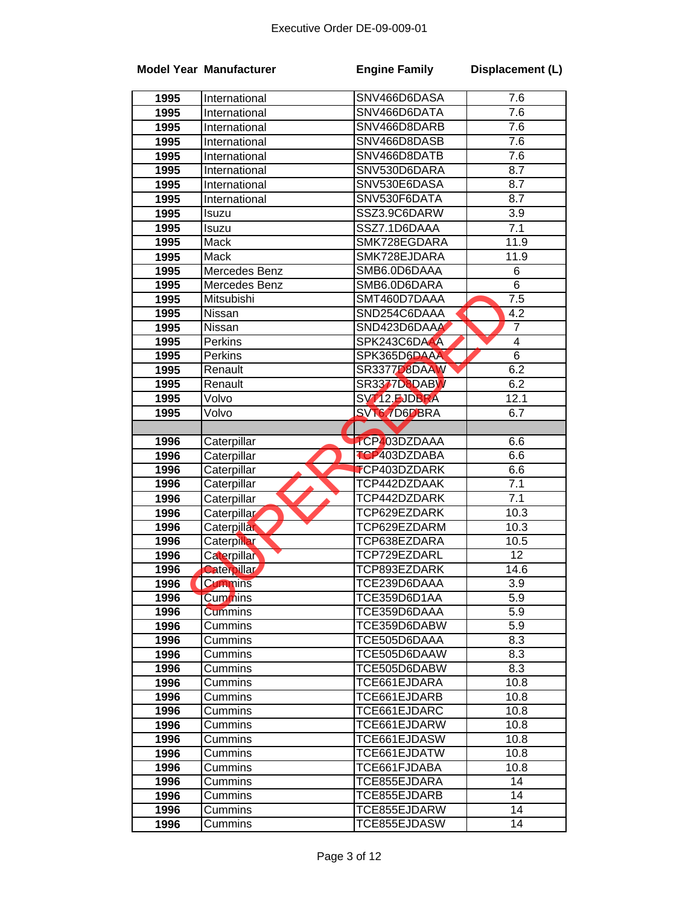|              | <b>Model Year Manufacturer</b> | <b>Engine Family</b>         | Displacement (L) |
|--------------|--------------------------------|------------------------------|------------------|
| 1995         | International                  | SNV466D6DASA                 | 7.6              |
| 1995         | International                  | SNV466D6DATA                 | 7.6              |
| 1995         | International                  | SNV466D8DARB                 | 7.6              |
| 1995         | International                  | SNV466D8DASB                 | 7.6              |
| 1995         | International                  | SNV466D8DATB                 | 7.6              |
| 1995         | International                  | SNV530D6DARA                 | 8.7              |
| 1995         | International                  | SNV530E6DASA                 | 8.7              |
| 1995         | International                  | SNV530F6DATA                 | 8.7              |
| 1995         | Isuzu                          | SSZ3.9C6DARW                 | 3.9              |
| 1995         | Isuzu                          | SSZ7.1D6DAAA                 | 7.1              |
| 1995         | Mack                           | SMK728EGDARA                 | 11.9             |
| 1995         | Mack                           | SMK728EJDARA                 | 11.9             |
| 1995         | Mercedes Benz                  | SMB6.0D6DAAA                 | 6                |
| 1995         | Mercedes Benz                  | SMB6.0D6DARA                 | 6                |
| 1995         | Mitsubishi                     | SMT460D7DAAA                 | $\overline{7.5}$ |
| 1995         | Nissan                         | SND254C6DAAA                 | 4.2              |
| 1995         | Nissan                         | SND423D6DAAA                 | $\overline{7}$   |
| 1995         | Perkins                        | SPK243C6DAAA                 | $\overline{4}$   |
| 1995         | Perkins                        | SPK365D6DAAA                 | $\overline{6}$   |
| 1995         | Renault                        | SR3377D8DAAW                 | 6.2              |
| 1995         | Renault                        | SR3377D8DABW                 | 6.2              |
| 1995         | Volvo                          | SVT12.EJDBRA                 | 12.1             |
| 1995         | Volvo                          | SVT6.7D6DBRA                 | 6.7              |
|              |                                |                              |                  |
| 1996         | Caterpillar                    | <b>TCP403DZDAAA</b>          | 6.6              |
| 1996         | Caterpillar                    | TCP403DZDABA                 | 6.6              |
| 1996         | Caterpillar                    | <b>TCP403DZDARK</b>          | 6.6              |
| 1996         | Caterpillar                    | TCP442DZDAAK                 | 7.1              |
| 1996         | Caterpillar                    | TCP442DZDARK                 | 7.1              |
| 1996         | Caterpillar                    | TCP629EZDARK                 | 10.3             |
| 1996         | Caterpillar                    | TCP629EZDARM                 | 10.3             |
| 1996         | Caterpillar                    | TCP638EZDARA                 | 10.5             |
| 1996         | Caterpillar                    | TCP729EZDARL                 | $\overline{12}$  |
| 1996         | Caterpillar                    | TCP893EZDARK                 | 14.6             |
| 1996         | <b>Cummins</b>                 | TCE239D6DAAA                 | 3.9              |
| 1996         | Cummins                        | TCE359D6D1AA                 | 5.9              |
| 1996         | <b>Cummins</b>                 | TCE359D6DAAA                 | 5.9              |
| 1996         | Cummins                        | TCE359D6DABW                 | 5.9              |
| 1996         | Cummins                        | TCE505D6DAAA                 | 8.3              |
| 1996         | Cummins                        | TCE505D6DAAW                 | 8.3              |
| 1996         | Cummins                        | TCE505D6DABW                 | 8.3              |
| 1996         | Cummins                        | TCE661EJDARA                 | 10.8             |
| 1996         | Cummins                        | TCE661EJDARB                 | 10.8             |
| 1996         | <b>Cummins</b>                 | TCE661EJDARC                 | 10.8             |
| 1996         | Cummins                        | TCE661EJDARW                 | 10.8             |
| 1996         | Cummins                        | TCE661EJDASW                 | 10.8             |
| 1996         | Cummins                        | TCE661EJDATW                 | 10.8             |
| 1996         | Cummins                        | TCE661FJDABA                 | 10.8             |
| 1996         | Cummins                        | TCE855EJDARA<br>TCE855EJDARB | 14<br>14         |
| 1996         | Cummins<br>Cummins             | TCE855EJDARW                 | 14               |
| 1996<br>1996 | Cummins                        | TCE855EJDASW                 | 14               |
|              |                                |                              |                  |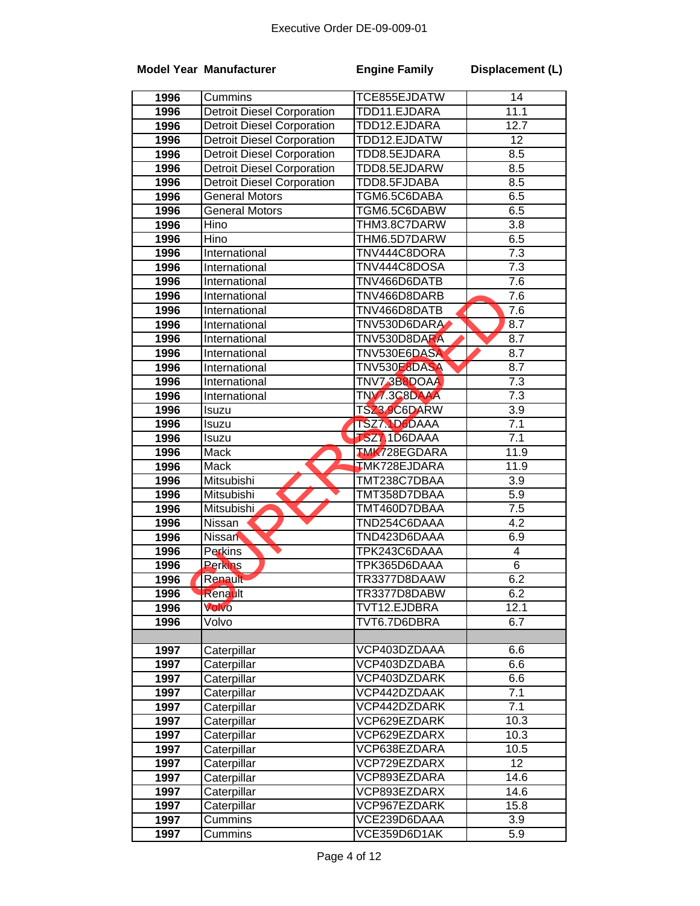|      | <b>Model Year Manufacturer</b>    | <b>Engine Family</b> | Displacement (L)        |
|------|-----------------------------------|----------------------|-------------------------|
| 1996 | Cummins                           | TCE855EJDATW         | 14                      |
| 1996 | <b>Detroit Diesel Corporation</b> | TDD11.EJDARA         | 11.1                    |
| 1996 | <b>Detroit Diesel Corporation</b> | TDD12.EJDARA         | 12.7                    |
| 1996 | <b>Detroit Diesel Corporation</b> | TDD12.EJDATW         | $\overline{12}$         |
| 1996 | <b>Detroit Diesel Corporation</b> | TDD8.5EJDARA         | 8.5                     |
| 1996 | <b>Detroit Diesel Corporation</b> | TDD8.5EJDARW         | 8.5                     |
| 1996 | <b>Detroit Diesel Corporation</b> | TDD8.5FJDABA         | 8.5                     |
| 1996 | <b>General Motors</b>             | TGM6.5C6DABA         | 6.5                     |
| 1996 | <b>General Motors</b>             | TGM6.5C6DABW         | 6.5                     |
| 1996 | Hino                              | THM3.8C7DARW         | 3.8                     |
| 1996 | Hino                              | THM6.5D7DARW         | 6.5                     |
| 1996 | International                     | TNV444C8DORA         | $\overline{7.3}$        |
| 1996 | International                     | TNV444C8DOSA         | $\overline{7.3}$        |
| 1996 | International                     | TNV466D6DATB         | 7.6                     |
| 1996 | International                     | TNV466D8DARB         | 7.6                     |
| 1996 | International                     | TNV466D8DATB         | 7.6                     |
| 1996 | International                     | TNV530D6DARA         | 8.7                     |
| 1996 | International                     | TNV530D8DARA         | 8.7                     |
| 1996 | International                     | TNV530E6DASA         | 8.7                     |
| 1996 | International                     | TNV530E8DASA         | 8.7                     |
| 1996 | International                     | TNV7.3B8DOAA         | 7.3                     |
| 1996 | International                     | TNV7.3C8DAAA         | 7.3                     |
| 1996 | Isuzu                             | TSZ3.9C6DARW         | $\overline{3.9}$        |
| 1996 | Isuzu                             | TSZ7.1D6DAAA         | $\overline{7.1}$        |
| 1996 | Isuzu                             | <b>TSZ7 1D6DAAA</b>  | 7.1                     |
| 1996 | Mack                              | <b>TMK728EGDARA</b>  | 11.9                    |
| 1996 | <b>Mack</b>                       | TMK728EJDARA         | 11.9                    |
| 1996 | Mitsubishi                        | TMT238C7DBAA         | 3.9                     |
| 1996 | Mitsubishi                        | TMT358D7DBAA         | 5.9                     |
| 1996 | Mitsubishi                        | TMT460D7DBAA         | 7.5                     |
| 1996 | Nissan                            | TND254C6DAAA         | $\overline{4.2}$        |
| 1996 | <b>Nissan</b>                     | TND423D6DAAA         | 6.9                     |
| 1996 | Perkins                           | TPK243C6DAAA         | $\overline{\mathbf{4}}$ |
| 1996 | <b>Perkins</b>                    | TPK365D6DAAA         | $\overline{6}$          |
| 1996 | Renault                           | TR3377D8DAAW         | 6.2                     |
| 1996 | <b>Renault</b>                    | TR3377D8DABW         | 6.2                     |
| 1996 | Volvo                             | TVT12.EJDBRA         | 12.1                    |
| 1996 | Volvo                             | TVT6.7D6DBRA         | 6.7                     |
|      |                                   |                      |                         |
| 1997 | Caterpillar                       | VCP403DZDAAA         | 6.6                     |
| 1997 | Caterpillar                       | VCP403DZDABA         | 6.6                     |
| 1997 | Caterpillar                       | VCP403DZDARK         | 6.6                     |
| 1997 | Caterpillar                       | VCP442DZDAAK         | 7.1                     |
| 1997 | Caterpillar                       | VCP442DZDARK         | 7.1                     |
| 1997 | Caterpillar                       | VCP629EZDARK         | 10.3                    |
| 1997 | Caterpillar                       | VCP629EZDARX         | 10.3                    |
| 1997 | Caterpillar                       | VCP638EZDARA         | 10.5                    |
| 1997 | Caterpillar                       | VCP729EZDARX         | 12                      |
| 1997 | Caterpillar                       | VCP893EZDARA         | 14.6                    |
| 1997 | Caterpillar                       | VCP893EZDARX         | 14.6                    |
| 1997 | Caterpillar                       | VCP967EZDARK         | 15.8                    |
| 1997 | Cummins                           | VCE239D6DAAA         | 3.9                     |
| 1997 | Cummins                           | VCE359D6D1AK         | 5.9                     |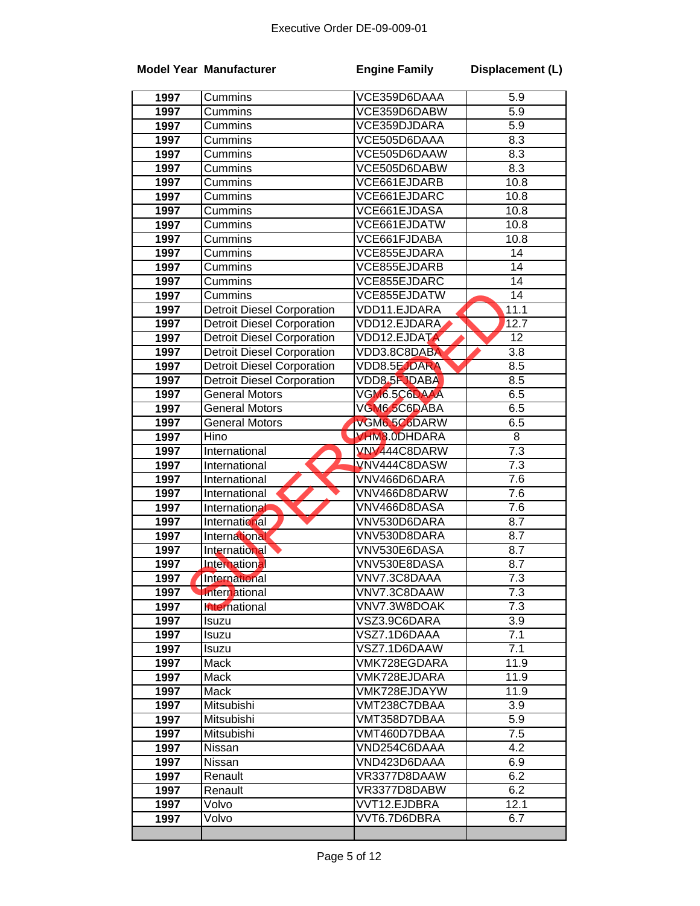|      | <b>Model Year Manufacturer</b>    | <b>Engine Family</b> | Displacement (L) |
|------|-----------------------------------|----------------------|------------------|
| 1997 | Cummins                           | VCE359D6DAAA         | 5.9              |
| 1997 | Cummins                           | VCE359D6DABW         | 5.9              |
| 1997 | Cummins                           | VCE359DJDARA         | 5.9              |
| 1997 | Cummins                           | VCE505D6DAAA         | 8.3              |
| 1997 | Cummins                           | VCE505D6DAAW         | 8.3              |
| 1997 | Cummins                           | VCE505D6DABW         | 8.3              |
| 1997 | Cummins                           | VCE661EJDARB         | 10.8             |
| 1997 | Cummins                           | VCE661EJDARC         | 10.8             |
| 1997 | Cummins                           | VCE661EJDASA         | 10.8             |
| 1997 | <b>Cummins</b>                    | VCE661EJDATW         | 10.8             |
| 1997 | Cummins                           | VCE661FJDABA         | 10.8             |
| 1997 | Cummins                           | VCE855EJDARA         | 14               |
| 1997 | Cummins                           | VCE855EJDARB         | 14               |
| 1997 | Cummins                           | VCE855EJDARC         | $\overline{14}$  |
| 1997 | Cummins                           | VCE855EJDATW         | 14               |
| 1997 | <b>Detroit Diesel Corporation</b> | VDD11.EJDARA         | 11.1             |
| 1997 | <b>Detroit Diesel Corporation</b> | VDD12.EJDARA         | 12.7             |
| 1997 | <b>Detroit Diesel Corporation</b> | <b>VDD12.EJDATA</b>  | $\overline{12}$  |
| 1997 | <b>Detroit Diesel Corporation</b> | VDD3.8C8DABA         | 3.8              |
| 1997 | <b>Detroit Diesel Corporation</b> | VDD8.5EJDARA         | 8.5              |
| 1997 | <b>Detroit Diesel Corporation</b> | <b>VDD8.5FJDABA</b>  | 8.5              |
| 1997 | <b>General Motors</b>             | VGM6.5C6DAAA         | 6.5              |
| 1997 | <b>General Motors</b>             | VGM6.5C6DABA         | 6.5              |
| 1997 | General Motors                    | VGM6.5C6DARW         | 6.5              |
| 1997 | Hino                              | VHM8.0DHDARA         | 8                |
| 1997 | International                     | VNV444C8DARW         | 7.3              |
| 1997 | International                     | VNV444C8DASW         | 7.3              |
| 1997 | International                     | VNV466D6DARA         | 7.6              |
| 1997 | International                     | VNV466D8DARW         | 7.6              |
| 1997 | International                     | VNV466D8DASA         | 7.6              |
| 1997 | International                     | VNV530D6DARA         | 8.7              |
| 1997 | International                     | VNV530D8DARA         | 8.7              |
| 1997 | International                     | VNV530E6DASA         | 8.7              |
| 1997 | International                     | VNV530E8DASA         | 8.7              |
| 1997 | International                     | VNV7.3C8DAAA         | 7.3              |
| 1997 | International                     | VNV7.3C8DAAW         | 7.3              |
| 1997 | hternational                      | VNV7.3W8DOAK         | 7.3              |
| 1997 | Isuzu                             | VSZ3.9C6DARA         | 3.9              |
| 1997 | Isuzu                             | VSZ7.1D6DAAA         | 7.1              |
| 1997 | Isuzu                             | VSZ7.1D6DAAW         | 7.1              |
| 1997 | Mack                              | VMK728EGDARA         | 11.9             |
| 1997 | Mack                              | VMK728EJDARA         | 11.9             |
| 1997 | Mack                              | VMK728EJDAYW         | 11.9             |
| 1997 | Mitsubishi                        | VMT238C7DBAA         | 3.9              |
| 1997 | Mitsubishi                        | VMT358D7DBAA         | 5.9              |
| 1997 | Mitsubishi                        | VMT460D7DBAA         | 7.5              |
| 1997 | Nissan                            | VND254C6DAAA         | 4.2              |
| 1997 | Nissan                            | VND423D6DAAA         | 6.9              |
| 1997 | Renault                           | VR3377D8DAAW         | 6.2              |
| 1997 | Renault                           | VR3377D8DABW         | 6.2              |
| 1997 | Volvo                             | VVT12.EJDBRA         | 12.1             |
| 1997 | Volvo                             | VVT6.7D6DBRA         | 6.7              |
|      |                                   |                      |                  |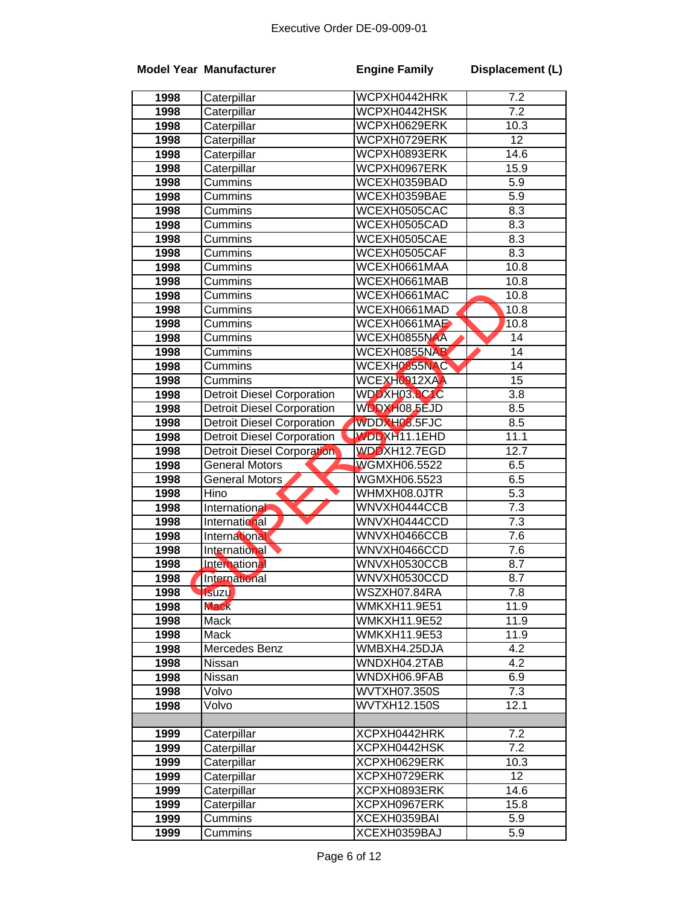|      | <b>Model Year Manufacturer</b>    | <b>Engine Family</b> | Displacement (L) |
|------|-----------------------------------|----------------------|------------------|
| 1998 | Caterpillar                       | WCPXH0442HRK         | 7.2              |
| 1998 | Caterpillar                       | WCPXH0442HSK         | $\overline{7.2}$ |
| 1998 | Caterpillar                       | WCPXH0629ERK         | 10.3             |
| 1998 | Caterpillar                       | WCPXH0729ERK         | $\overline{12}$  |
| 1998 | Caterpillar                       | WCPXH0893ERK         | 14.6             |
| 1998 | Caterpillar                       | WCPXH0967ERK         | 15.9             |
| 1998 | Cummins                           | WCEXH0359BAD         | 5.9              |
| 1998 | Cummins                           | WCEXH0359BAE         | $\overline{5.9}$ |
| 1998 | Cummins                           | WCEXH0505CAC         | 8.3              |
| 1998 | Cummins                           | WCEXH0505CAD         | 8.3              |
| 1998 | Cummins                           | WCEXH0505CAE         | 8.3              |
| 1998 | Cummins                           | WCEXH0505CAF         | 8.3              |
| 1998 | Cummins                           | WCEXH0661MAA         | 10.8             |
| 1998 | Cummins                           | WCEXH0661MAB         | 10.8             |
| 1998 | Cummins                           | WCEXH0661MAC         | 10.8             |
| 1998 | Cummins                           | WCEXH0661MAD         | 10.8             |
| 1998 | Cummins                           | WCEXH0661MAE         | 10.8             |
| 1998 | Cummins                           | WCEXH0855NAA         | 14               |
| 1998 | Cummins                           | WCEXH0855NAB         | $\overline{14}$  |
| 1998 | Cummins                           | WCEXH0855NAC         | $\overline{14}$  |
| 1998 | Cummins                           | WCEXH0912XAA         | $\overline{15}$  |
| 1998 | Detroit Diesel Corporation        | WDDXH03.8C1C         | 3.8              |
| 1998 | <b>Detroit Diesel Corporation</b> | WDDXH08.5EJD         | 8.5              |
| 1998 | <b>Detroit Diesel Corporation</b> | WDDXH08.5FJC         | 8.5              |
| 1998 | <b>Detroit Diesel Corporation</b> | <b>WDDXH11.1EHD</b>  | 11.1             |
| 1998 | Detroit Diesel Corporation        | WDDXH12.7EGD         | 12.7             |
| 1998 | <b>General Motors</b>             | <b>WGMXH06.5522</b>  | 6.5              |
| 1998 | <b>General Motors</b>             | WGMXH06.5523         | 6.5              |
| 1998 | Hino                              | WHMXH08.0JTR         | $\overline{5.3}$ |
| 1998 | International                     | WNVXH0444CCB         | $\overline{7.3}$ |
| 1998 | International                     | WNVXH0444CCD         | $\overline{7.3}$ |
| 1998 | International                     | WNVXH0466CCB         | $\overline{7.6}$ |
| 1998 | International                     | WNVXH0466CCD         | 7.6              |
| 1998 | <b>International</b>              | WNVXH0530CCB         | 8.7              |
| 1998 | International                     | WNVXH0530CCD         | 8.7              |
| 1998 | <b>Isuzu</b>                      | WSZXH07.84RA         | 7.8              |
| 1998 | <b>Mack</b>                       | <b>WMKXH11.9E51</b>  | 11.9             |
| 1998 | Mack                              | <b>WMKXH11.9E52</b>  | 11.9             |
| 1998 | Mack                              | <b>WMKXH11.9E53</b>  | 11.9             |
| 1998 | Mercedes Benz                     | WMBXH4.25DJA         | $\overline{4.2}$ |
| 1998 | Nissan                            | WNDXH04.2TAB         | $\overline{4.2}$ |
| 1998 | Nissan                            | WNDXH06.9FAB         | 6.9              |
| 1998 | Volvo                             | <b>WVTXH07.350S</b>  | 7.3              |
| 1998 | Volvo                             | <b>WVTXH12.150S</b>  | 12.1             |
|      |                                   |                      |                  |
| 1999 | Caterpillar                       | XCPXH0442HRK         | 7.2              |
| 1999 | Caterpillar                       | XCPXH0442HSK         | 7.2              |
| 1999 | Caterpillar                       | XCPXH0629ERK         | 10.3             |
| 1999 | Caterpillar                       | XCPXH0729ERK         | 12               |
| 1999 | Caterpillar                       | XCPXH0893ERK         | 14.6             |
| 1999 | Caterpillar                       | XCPXH0967ERK         | 15.8             |
| 1999 | Cummins                           | XCEXH0359BAI         | 5.9              |
| 1999 | Cummins                           | XCEXH0359BAJ         | 5.9              |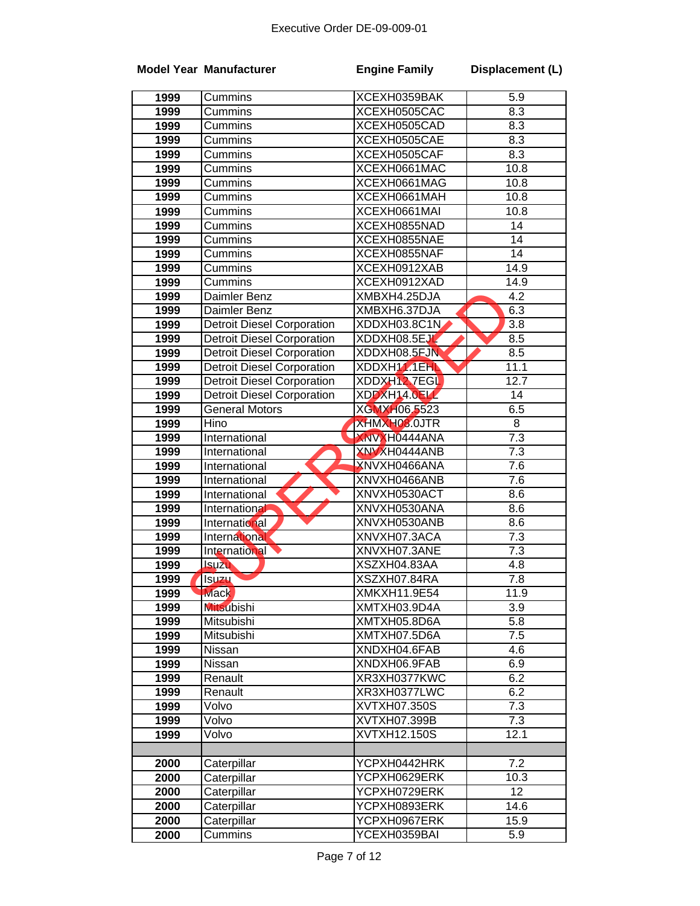|      | <b>Model Year Manufacturer</b>    | <b>Engine Family</b> | Displacement (L)  |
|------|-----------------------------------|----------------------|-------------------|
| 1999 | Cummins                           | XCEXH0359BAK         | 5.9               |
| 1999 | Cummins                           | XCEXH0505CAC         | 8.3               |
| 1999 | Cummins                           | XCEXH0505CAD         | 8.3               |
| 1999 | Cummins                           | XCEXH0505CAE         | 8.3               |
| 1999 | Cummins                           | XCEXH0505CAF         | 8.3               |
| 1999 | Cummins                           | XCEXH0661MAC         | 10.8              |
| 1999 | Cummins                           | XCEXH0661MAG         | 10.8              |
| 1999 | Cummins                           | XCEXH0661MAH         | 10.8              |
| 1999 | Cummins                           | XCEXH0661MAI         | 10.8              |
| 1999 | Cummins                           | XCEXH0855NAD         | 14                |
| 1999 | Cummins                           | XCEXH0855NAE         | $\overline{14}$   |
| 1999 | Cummins                           | XCEXH0855NAF         | 14                |
| 1999 | Cummins                           | XCEXH0912XAB         | 14.9              |
| 1999 | Cummins                           | XCEXH0912XAD         | $\overline{1}4.9$ |
| 1999 | Daimler Benz                      | XMBXH4.25DJA         | 4.2               |
| 1999 | Daimler Benz                      | XMBXH6.37DJA         | 6.3               |
| 1999 | Detroit Diesel Corporation        | XDDXH03.8C1N         | 3.8               |
| 1999 | <b>Detroit Diesel Corporation</b> | XDDXH08.5EJL         | 8.5               |
| 1999 | <b>Detroit Diesel Corporation</b> | XDDXH08.5EJN         | 8.5               |
| 1999 | <b>Detroit Diesel Corporation</b> | XDDXH111EHL          | 11.1              |
| 1999 | <b>Detroit Diesel Corporation</b> | XDDXH12 7EGL         | 12.7              |
| 1999 | <b>Detroit Diesel Corporation</b> | XDDXH14.0ELL         | 14                |
| 1999 | <b>General Motors</b>             | XGMXH06.5523         | 6.5               |
| 1999 | Hino                              | XHMXH08.0JTR         | 8                 |
| 1999 | International                     | <b>XNVXH0444ANA</b>  | 7.3               |
| 1999 | International                     | XNVXH0444ANB         | 7.3               |
| 1999 | International                     | XNVXH0466ANA         | 7.6               |
| 1999 | International                     | XNVXH0466ANB         | 7.6               |
| 1999 | International                     | XNVXH0530ACT         | 8.6               |
| 1999 | International                     | XNVXH0530ANA         | 8.6               |
| 1999 | International                     | XNVXH0530ANB         | 8.6               |
| 1999 | International                     | XNVXH07.3ACA         | 7.3               |
| 1999 | International                     | XNVXH07.3ANE         | $\overline{7.3}$  |
| 1999 | <b>Isuzu</b>                      | XSZXH04.83AA         | 4.8               |
| 1999 | <b>ISUZU</b>                      | XSZXH07.84RA         | 7.8               |
| 1999 | <b>Mack</b>                       | XMKXH11.9E54         | 11.9              |
| 1999 | <b>Mitsubishi</b>                 | XMTXH03.9D4A         | 3.9               |
| 1999 | Mitsubishi                        | XMTXH05.8D6A         | 5.8               |
| 1999 | Mitsubishi                        | XMTXH07.5D6A         | 7.5               |
| 1999 | Nissan                            | XNDXH04.6FAB         | 4.6               |
| 1999 | Nissan                            | XNDXH06.9FAB         | 6.9               |
| 1999 | Renault                           | XR3XH0377KWC         | 6.2               |
| 1999 | Renault                           | XR3XH0377LWC         | 6.2               |
| 1999 | Volvo                             | XVTXH07.350S         | 7.3               |
| 1999 | Volvo                             | XVTXH07.399B         | 7.3               |
| 1999 | Volvo                             | XVTXH12.150S         | 12.1              |
|      |                                   |                      |                   |
| 2000 | Caterpillar                       | YCPXH0442HRK         | 7.2               |
| 2000 | Caterpillar                       | YCPXH0629ERK         | 10.3              |
| 2000 | Caterpillar                       | YCPXH0729ERK         | 12                |
| 2000 | Caterpillar                       | YCPXH0893ERK         | 14.6              |
| 2000 | Caterpillar                       | YCPXH0967ERK         | 15.9              |
| 2000 | Cummins                           | YCEXH0359BAI         | 5.9               |
|      |                                   |                      |                   |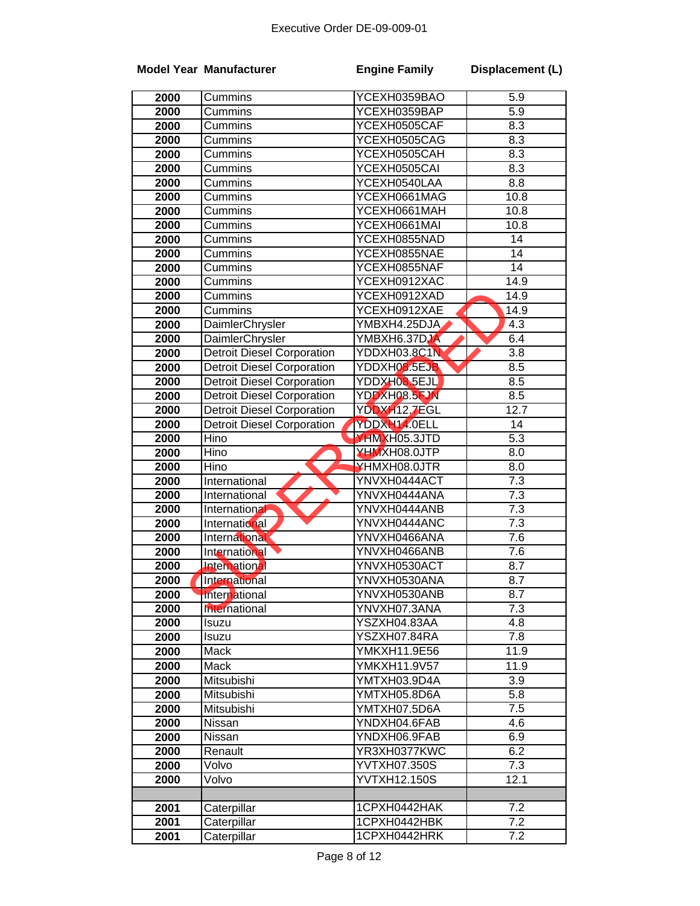|      | <b>Model Year Manufacturer</b>    | <b>Engine Family</b> | Displacement (L) |
|------|-----------------------------------|----------------------|------------------|
| 2000 | Cummins                           | YCEXH0359BAO         | 5.9              |
| 2000 | Cummins                           | YCEXH0359BAP         | 5.9              |
| 2000 | Cummins                           | YCEXH0505CAF         | 8.3              |
| 2000 | Cummins                           | YCEXH0505CAG         | 8.3              |
| 2000 | Cummins                           | YCEXH0505CAH         | 8.3              |
| 2000 | Cummins                           | YCEXH0505CAI         | 8.3              |
| 2000 | $\overline{\mathrm{C}}$ ummins    | YCEXH0540LAA         | 8.8              |
| 2000 | Cummins                           | YCEXH0661MAG         | 10.8             |
| 2000 | Cummins                           | YCEXH0661MAH         | 10.8             |
| 2000 | Cummins                           | YCEXH0661MAI         | 10.8             |
| 2000 | Cummins                           | YCEXH0855NAD         | 14               |
| 2000 | Cummins                           | YCEXH0855NAE         | 14               |
| 2000 | Cummins                           | YCEXH0855NAF         | $\overline{14}$  |
| 2000 | Cummins                           | YCEXH0912XAC         | 14.9             |
| 2000 | Cummins                           | YCEXH0912XAD         | 14.9             |
| 2000 | Cummins                           | YCEXH0912XAE         | 14.9             |
| 2000 | DaimlerChrysler                   | YMBXH4.25DJA         | $4.\overline{3}$ |
| 2000 | DaimlerChrysler                   | YMBXH6.37DJA         | 6.4              |
| 2000 | <b>Detroit Diesel Corporation</b> | YDDXH03.8C1N         | 3.8              |
| 2000 | <b>Detroit Diesel Corporation</b> | YDDXH08.5EJB         | 8.5              |
| 2000 | <b>Detroit Diesel Corporation</b> | YDDXH08.5EJL         | 8.5              |
| 2000 | <b>Detroit Diesel Corporation</b> | YDDXH08.5FJN         | 8.5              |
| 2000 | <b>Detroit Diesel Corporation</b> | YDDXH12.7EGL         | 12.7             |
| 2000 | <b>Detroit Diesel Corporation</b> | YDDXH14.0ELL         | 14               |
| 2000 | Hino                              | YHMXH05.3JTD         | $\overline{5.3}$ |
| 2000 | Hino                              | XHMXH08.0JTP         | 8.0              |
| 2000 | Hino                              | YHMXH08.0JTR         | 8.0              |
| 2000 | International                     | YNVXH0444ACT         | 7.3              |
| 2000 | International                     | YNVXH0444ANA         | $\overline{7.3}$ |
| 2000 | International                     | YNVXH0444ANB         | $\overline{7.3}$ |
| 2000 | International                     | YNVXH0444ANC         | $\overline{7.3}$ |
| 2000 | International                     | YNVXH0466ANA         | $\overline{7.6}$ |
| 2000 | <b>International</b>              | YNVXH0466ANB         | 7.6              |
| 2000 | International                     | YNVXH0530ACT         | 8.7              |
| 2000 | International                     | YNVXH0530ANA         | 8.7              |
| 2000 | International                     | YNVXH0530ANB         | 8.7              |
| 2000 | International                     | YNVXH07.3ANA         | 7.3              |
| 2000 | Isuzu                             | YSZXH04.83AA         | 4.8              |
| 2000 | Isuzu                             | YSZXH07.84RA         | 7.8              |
| 2000 | Mack                              | YMKXH11.9E56         | 11.9             |
| 2000 | Mack                              | YMKXH11.9V57         | 11.9             |
| 2000 | Mitsubishi                        | YMTXH03.9D4A         | 3.9              |
| 2000 | Mitsubishi                        | YMTXH05.8D6A         | 5.8              |
| 2000 | Mitsubishi                        | YMTXH07.5D6A         | 7.5              |
| 2000 | Nissan                            | YNDXH04.6FAB         | 4.6              |
| 2000 | Nissan                            | YNDXH06.9FAB         | 6.9              |
| 2000 | Renault                           | YR3XH0377KWC         | 6.2              |
| 2000 | Volvo                             | YVTXH07.350S         | 7.3              |
| 2000 | Volvo                             | YVTXH12.150S         | 12.1             |
|      |                                   |                      |                  |
| 2001 | Caterpillar                       | 1CPXH0442HAK         | 7.2              |
| 2001 | Caterpillar                       | 1CPXH0442HBK         | 7.2              |
| 2001 | Caterpillar                       | 1CPXH0442HRK         | $\overline{7.2}$ |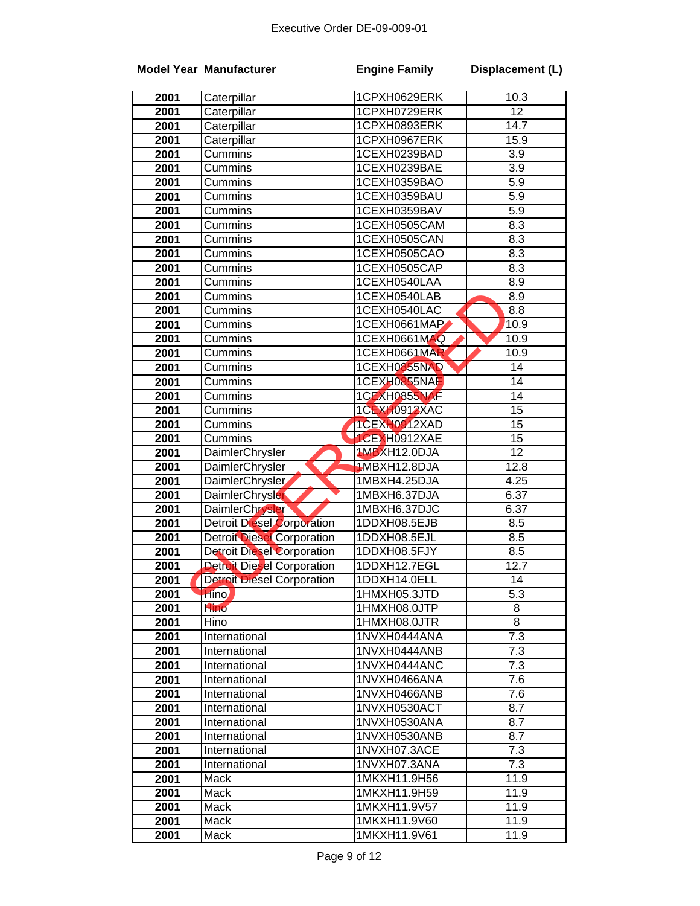|      | <b>Model Year Manufacturer</b>    | <b>Engine Family</b> | Displacement (L) |
|------|-----------------------------------|----------------------|------------------|
| 2001 | Caterpillar                       | 1CPXH0629ERK         | 10.3             |
| 2001 | Caterpillar                       | 1CPXH0729ERK         | $\overline{12}$  |
| 2001 | Caterpillar                       | 1CPXH0893ERK         | 14.7             |
| 2001 | Caterpillar                       | 1CPXH0967ERK         | 15.9             |
| 2001 | Cummins                           | 1CEXH0239BAD         | 3.9              |
| 2001 | Cummins                           | 1CEXH0239BAE         | $\overline{3.9}$ |
| 2001 | Cummins                           | 1CEXH0359BAO         | $\overline{5.9}$ |
| 2001 | Cummins                           | 1CEXH0359BAU         | $\overline{5.9}$ |
| 2001 | Cummins                           | 1CEXH0359BAV         | $\overline{5.9}$ |
| 2001 | Cummins                           | 1CEXH0505CAM         | 8.3              |
| 2001 | Cummins                           | 1CEXH0505CAN         | 8.3              |
| 2001 | Cummins                           | 1CEXH0505CAO         | 8.3              |
| 2001 | Cummins                           | 1CEXH0505CAP         | 8.3              |
| 2001 | Cummins                           | 1CEXH0540LAA         | 8.9              |
| 2001 | Cummins                           | 1CEXH0540LAB         | 8.9              |
| 2001 | Cummins                           | 1CEXH0540LAC         | 8.8              |
| 2001 | Cummins                           | 1CEXH0661MAP         | 10.9             |
| 2001 | Cummins                           | 1CEXH0661MAQ         | 10.9             |
| 2001 | Cummins                           | 1CEXH0661MAR         | 10.9             |
| 2001 | Cummins                           | 1CEXH0855NAD         | 14               |
| 2001 | Cummins                           | 1CEXH0855NAE         | 14               |
| 2001 | Cummins                           | 1CEXH0855NAF         | 14               |
| 2001 | Cummins                           | 1CEXH0912XAC         | 15               |
| 2001 | Cummins                           | 1CEXH0912XAD         | $\overline{15}$  |
| 2001 | Cummins                           | 1CEXH0912XAE         | $\overline{15}$  |
| 2001 | DaimlerChrysler                   | <b>1MBXH12.0DJA</b>  | $\overline{12}$  |
| 2001 | DaimlerChrysler                   | 1MBXH12.8DJA         | 12.8             |
| 2001 | DaimlerChrysler                   | 1MBXH4.25DJA         | 4.25             |
| 2001 | <b>DaimlerChrysler</b>            | 1MBXH6.37DJA         | 6.37             |
| 2001 | DaimlerChrysler                   | 1MBXH6.37DJC         | 6.37             |
| 2001 | <b>Detroit Diesel Corporation</b> | 1DDXH08.5EJB         | 8.5              |
| 2001 | <b>Detroit Diesel Corporation</b> | 1DDXH08.5EJL         | 8.5              |
| 2001 | <b>Detroit Diesel Corporation</b> | 1DDXH08.5FJY         | 8.5              |
| 2001 | <b>Detroit Diesel Corporation</b> | 1DDXH12.7EGL         | 12.7             |
| 2001 | <b>Detroit Diesel Corporation</b> | 1DDXH14.0ELL         | 14               |
| 2001 | Hino                              | 1HMXH05.3JTD         | $\overline{5.3}$ |
| 2001 | Hino                              | 1HMXH08.0JTP         | 8                |
| 2001 | Hino                              | 1HMXH08.0JTR         | 8                |
| 2001 | International                     | 1NVXH0444ANA         | $\overline{7.3}$ |
| 2001 | International                     | 1NVXH0444ANB         | 7.3              |
| 2001 | International                     | 1NVXH0444ANC         | 7.3              |
| 2001 | International                     | 1NVXH0466ANA         | 7.6              |
| 2001 | International                     | 1NVXH0466ANB         | 7.6              |
| 2001 | International                     | 1NVXH0530ACT         | 8.7              |
| 2001 | International                     | 1NVXH0530ANA         | 8.7              |
| 2001 | International                     | 1NVXH0530ANB         | 8.7              |
| 2001 | International                     | 1NVXH07.3ACE         | 7.3              |
| 2001 | International                     | 1NVXH07.3ANA         | 7.3              |
| 2001 | Mack                              | 1MKXH11.9H56         | 11.9             |
| 2001 | Mack                              | 1MKXH11.9H59         | 11.9             |
| 2001 | Mack                              | 1MKXH11.9V57         | 11.9             |
| 2001 | Mack                              | 1MKXH11.9V60         | 11.9             |
| 2001 | Mack                              | 1MKXH11.9V61         | 11.9             |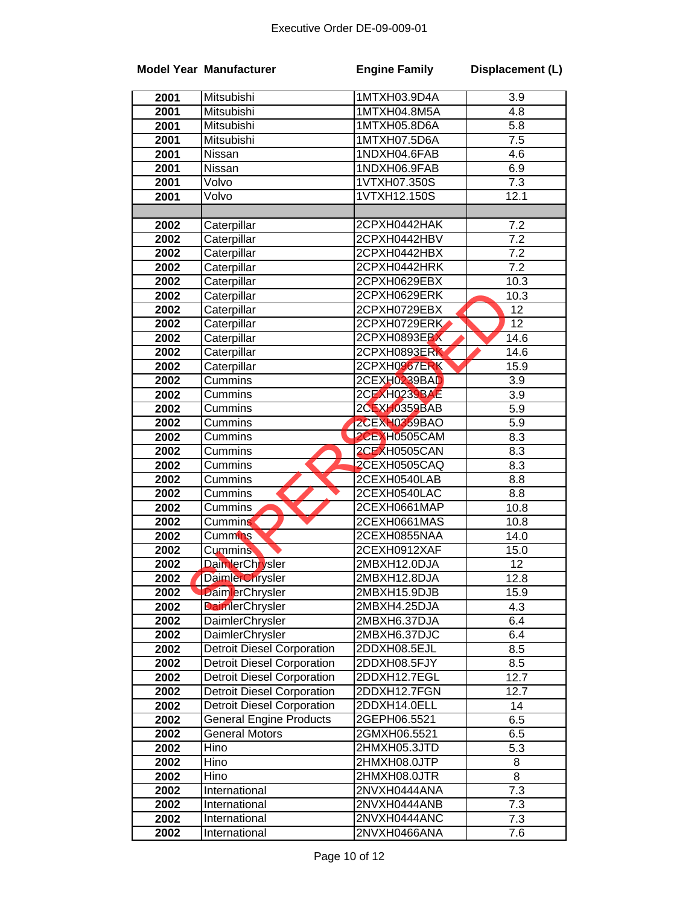|      | <b>Model Year Manufacturer</b>    | <b>Engine Family</b> | Displacement (L) |
|------|-----------------------------------|----------------------|------------------|
| 2001 | Mitsubishi                        | 1MTXH03.9D4A         | 3.9              |
| 2001 | Mitsubishi                        | 1MTXH04.8M5A         | 4.8              |
| 2001 | Mitsubishi                        | 1MTXH05.8D6A         | 5.8              |
| 2001 | Mitsubishi                        | 1MTXH07.5D6A         | 7.5              |
| 2001 | Nissan                            | 1NDXH04.6FAB         | 4.6              |
| 2001 | <b>Nissan</b>                     | 1NDXH06.9FAB         | 6.9              |
| 2001 | Volvo                             | 1VTXH07.350S         | 7.3              |
| 2001 | Volvo                             | 1VTXH12.150S         | 12.1             |
|      |                                   |                      |                  |
| 2002 | Caterpillar                       | 2CPXH0442HAK         | 7.2              |
| 2002 | Caterpillar                       | 2CPXH0442HBV         | 7.2              |
| 2002 | Caterpillar                       | 2CPXH0442HBX         | 7.2              |
| 2002 | Caterpillar                       | 2CPXH0442HRK         | 7.2              |
| 2002 | Caterpillar                       | 2CPXH0629EBX         | 10.3             |
| 2002 | Caterpillar                       | 2CPXH0629ERK         | 10.3             |
| 2002 | Caterpillar                       | 2CPXH0729EBX         | 12               |
| 2002 | Caterpillar                       | 2CPXH0729ERK         | $\overline{12}$  |
| 2002 | Caterpillar                       | 2CPXH0893EBX         | 14.6             |
| 2002 | Caterpillar                       | 2CPXH0893ERK         | 14.6             |
| 2002 | Caterpillar                       | 2CPXH0967ERK         | 15.9             |
| 2002 | Cummins                           | 2CEXH0239BAD         | $\overline{3.9}$ |
| 2002 | Cummins                           | 2CEXH0239BAE         | 3.9              |
| 2002 | Cummins                           | 2CEXH0359BAB         | 5.9              |
| 2002 | Cummins                           | 2CEXH0359BAO         | 5.9              |
| 2002 | Cummins                           | 2CEXH0505CAM         | 8.3              |
| 2002 | Cummins                           | 2CEXH0505CAN         | 8.3              |
| 2002 | Cummins                           | 2CEXH0505CAQ         | 8.3              |
| 2002 | Cummins                           | 2CEXH0540LAB         | 8.8              |
| 2002 | Cummins                           | 2CEXH0540LAC         | 8.8              |
| 2002 | Cummins                           | 2CEXH0661MAP         | 10.8             |
| 2002 | Cummins                           | 2CEXH0661MAS         | 10.8             |
| 2002 | Cummins                           | 2CEXH0855NAA         | 14.0             |
| 2002 | <b>Cummins</b>                    | 2CEXH0912XAF         | 15.0             |
| 2002 | DaimlerChrysler                   | 2MBXH12.0DJA         | 12               |
| 2002 | <b>DaimlerChrysler</b>            | 2MBXH12.8DJA         | 12.8             |
| 2002 | <b>DaimlerChrysler</b>            | 2MBXH15.9DJB         | 15.9             |
| 2002 | <b>DaimlerChrysler</b>            | 2MBXH4.25DJA         | 4.3              |
| 2002 | <b>DaimlerChrysler</b>            | 2MBXH6.37DJA         | 6.4              |
| 2002 | DaimlerChrysler                   | 2MBXH6.37DJC         | 6.4              |
| 2002 | <b>Detroit Diesel Corporation</b> | 2DDXH08.5EJL         | 8.5              |
| 2002 | <b>Detroit Diesel Corporation</b> | 2DDXH08.5FJY         | 8.5              |
| 2002 | <b>Detroit Diesel Corporation</b> | 2DDXH12.7EGL         | 12.7             |
| 2002 | <b>Detroit Diesel Corporation</b> | 2DDXH12.7FGN         | 12.7             |
| 2002 | <b>Detroit Diesel Corporation</b> | 2DDXH14.0ELL         | 14               |
| 2002 | <b>General Engine Products</b>    | 2GEPH06.5521         | 6.5              |
| 2002 | <b>General Motors</b>             | 2GMXH06.5521         | 6.5              |
| 2002 | Hino                              | 2HMXH05.3JTD         | 5.3              |
| 2002 | Hino                              | 2HMXH08.0JTP         | 8                |
| 2002 | Hino                              | 2HMXH08.0JTR         | 8                |
| 2002 | International                     | 2NVXH0444ANA         | 7.3              |
| 2002 | International                     | 2NVXH0444ANB         | $7.\overline{3}$ |
| 2002 | International                     | 2NVXH0444ANC         | 7.3              |
| 2002 | International                     | 2NVXH0466ANA         | 7.6              |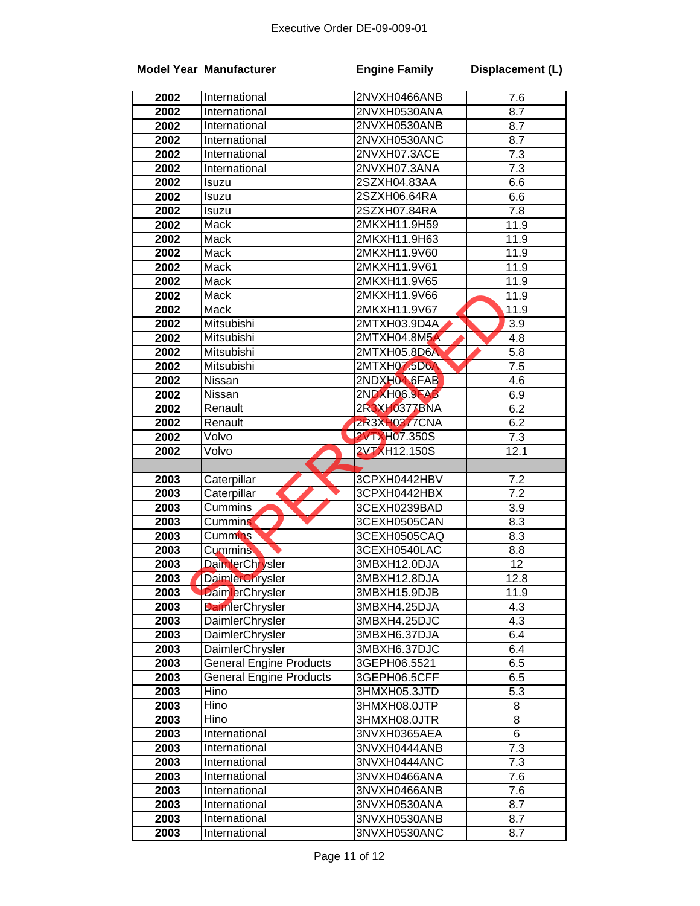|              | <b>Model Year Manufacturer</b>     | <b>Engine Family</b>         | Displacement (L) |
|--------------|------------------------------------|------------------------------|------------------|
| 2002         | International                      | 2NVXH0466ANB                 | 7.6              |
| 2002         | International                      | 2NVXH0530ANA                 | 8.7              |
| 2002         | International                      | 2NVXH0530ANB                 | 8.7              |
| 2002         | International                      | 2NVXH0530ANC                 | 8.7              |
| 2002         | International                      | 2NVXH07.3ACE                 | 7.3              |
| 2002         | International                      | 2NVXH07.3ANA                 | 7.3              |
| 2002         | Isuzu                              | 2SZXH04.83AA                 | 6.6              |
| 2002         | Isuzu                              | 2SZXH06.64RA                 | 6.6              |
| 2002         | Isuzu                              | 2SZXH07.84RA                 | 7.8              |
| 2002         | Mack                               | 2MKXH11.9H59                 | 11.9             |
| 2002         | Mack                               | 2MKXH11.9H63                 | 11.9             |
| 2002         | Mack                               | 2MKXH11.9V60                 | 11.9             |
| 2002         | Mack                               | 2MKXH11.9V61                 | 11.9             |
| 2002         | Mack                               | 2MKXH11.9V65                 | 11.9             |
| 2002         | Mack                               | 2MKXH11.9V66                 | 11.9             |
| 2002         | Mack                               | 2MKXH11.9V67                 | 11.9             |
| 2002         | Mitsubishi                         | 2MTXH03.9D4A                 | 3.9              |
| 2002         | Mitsubishi                         | 2MTXH04.8M5A                 | 4.8              |
| 2002         | Mitsubishi                         | 2MTXH05.8D6A                 | 5.8              |
| 2002         | Mitsubishi                         | 2MTXH07.5D6A                 | 7.5              |
| 2002         | Nissan                             | 2NDXH04.6FAB                 | 4.6              |
| 2002         | Nissan                             | <b>2NDXH06.9FAB</b>          | 6.9              |
| 2002         | Renault                            | 2R3XH0377BNA                 | 6.2              |
| 2002         | Renault                            | <b>2R3XH0377CNA</b>          | 6.2              |
| 2002         | Volvo                              | <b>2VTXH07.350S</b>          | 7.3              |
| 2002         | Volvo                              | <b>2VTXH12.150S</b>          | 12.1             |
|              |                                    |                              |                  |
| 2003         | Caterpillar                        | 3CPXH0442HBV                 | 7.2              |
| 2003         | Caterpillar                        | 3CPXH0442HBX                 | 7.2              |
| 2003         | Cummins                            | 3CEXH0239BAD                 | 3.9              |
| 2003         | <b>Cummins</b>                     | 3CEXH0505CAN                 | 8.3              |
| 2003         | <b>Cummins</b>                     | 3CEXH0505CAQ                 | 8.3              |
| 2003         | <b>Cummins</b>                     | 3CEXH0540LAC                 | 8.8              |
| 2003         | DaimlerChrysler                    | 3MBXH12.0DJA                 | 12               |
| 2003         | <b>DaimlerChrysler</b>             | 3MBXH12.8DJA                 | 12.8             |
| 2003         | <b>DaimlerChrysler</b>             | 3MBXH15.9DJB                 | 11.9             |
| 2003         | <b>DaimlerChrysler</b>             | 3MBXH4.25DJA                 | 4.3              |
| 2003         | DaimlerChrysler                    | 3MBXH4.25DJC                 | 4.3              |
| 2003<br>2003 | DaimlerChrysler<br>DaimlerChrysler | 3MBXH6.37DJA                 | 6.4<br>6.4       |
| 2003         | <b>General Engine Products</b>     | 3MBXH6.37DJC<br>3GEPH06.5521 | 6.5              |
| 2003         | <b>General Engine Products</b>     | 3GEPH06.5CFF                 | 6.5              |
| 2003         | Hino                               | 3HMXH05.3JTD                 | 5.3              |
| 2003         | Hino                               | 3HMXH08.0JTP                 | 8                |
| 2003         | Hino                               | 3HMXH08.0JTR                 | 8                |
| 2003         | International                      | 3NVXH0365AEA                 | 6                |
| 2003         | International                      | 3NVXH0444ANB                 | 7.3              |
| 2003         | International                      | 3NVXH0444ANC                 | 7.3              |
| 2003         | International                      | 3NVXH0466ANA                 | 7.6              |
| 2003         | International                      | 3NVXH0466ANB                 | 7.6              |
| 2003         | International                      | 3NVXH0530ANA                 | 8.7              |
| 2003         | International                      | 3NVXH0530ANB                 | 8.7              |
| 2003         | International                      | 3NVXH0530ANC                 | 8.7              |